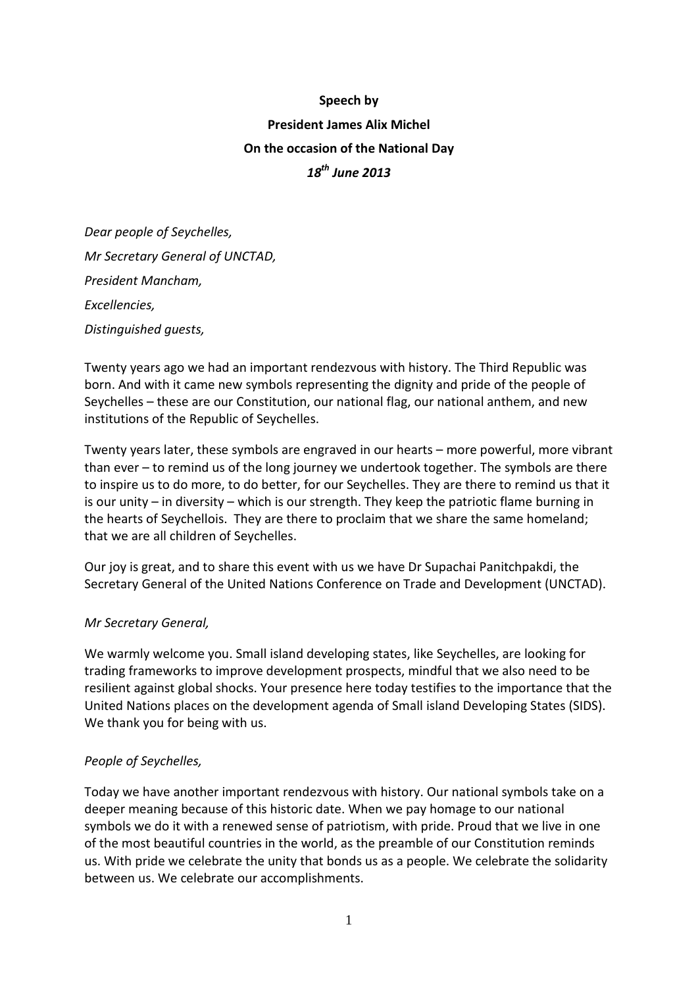# **Speech by President James Alix Michel On the occasion of the National Day** *18th June 2013*

*Dear people of Seychelles, Mr Secretary General of UNCTAD, President Mancham, Excellencies, Distinguished guests,*

Twenty years ago we had an important rendezvous with history. The Third Republic was born. And with it came new symbols representing the dignity and pride of the people of Seychelles – these are our Constitution, our national flag, our national anthem, and new institutions of the Republic of Seychelles.

Twenty years later, these symbols are engraved in our hearts – more powerful, more vibrant than ever – to remind us of the long journey we undertook together. The symbols are there to inspire us to do more, to do better, for our Seychelles. They are there to remind us that it is our unity – in diversity – which is our strength. They keep the patriotic flame burning in the hearts of Seychellois. They are there to proclaim that we share the same homeland; that we are all children of Seychelles.

Our joy is great, and to share this event with us we have Dr Supachai Panitchpakdi, the Secretary General of the United Nations Conference on Trade and Development (UNCTAD).

# *Mr Secretary General,*

We warmly welcome you. Small island developing states, like Seychelles, are looking for trading frameworks to improve development prospects, mindful that we also need to be resilient against global shocks. Your presence here today testifies to the importance that the United Nations places on the development agenda of Small island Developing States (SIDS). We thank you for being with us.

# *People of Seychelles,*

Today we have another important rendezvous with history. Our national symbols take on a deeper meaning because of this historic date. When we pay homage to our national symbols we do it with a renewed sense of patriotism, with pride. Proud that we live in one of the most beautiful countries in the world, as the preamble of our Constitution reminds us. With pride we celebrate the unity that bonds us as a people. We celebrate the solidarity between us. We celebrate our accomplishments.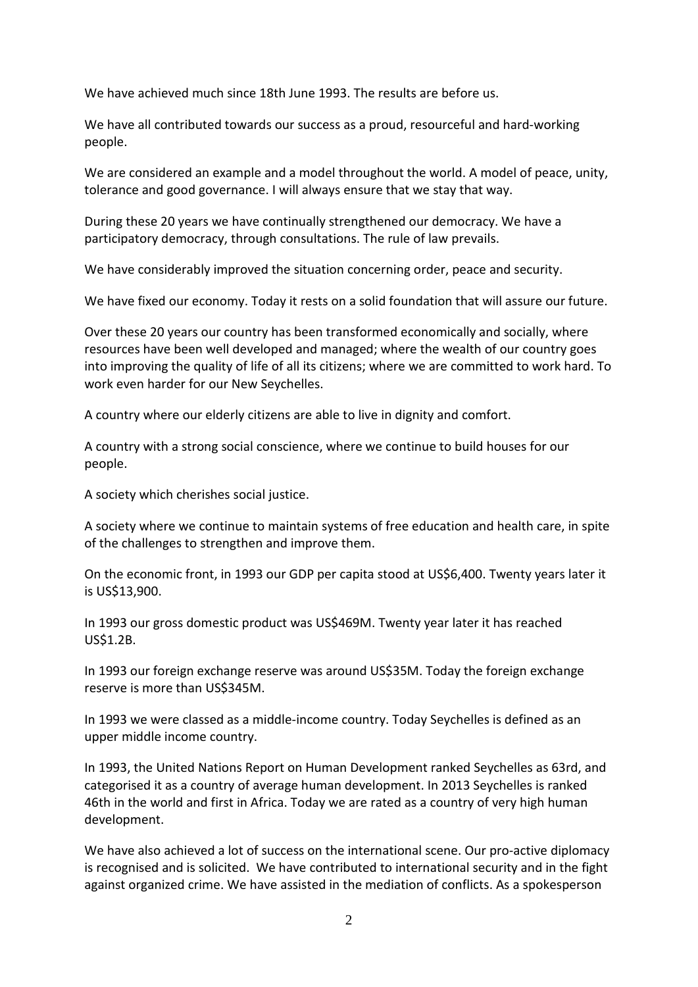We have achieved much since 18th June 1993. The results are before us.

We have all contributed towards our success as a proud, resourceful and hard-working people.

We are considered an example and a model throughout the world. A model of peace, unity, tolerance and good governance. I will always ensure that we stay that way.

During these 20 years we have continually strengthened our democracy. We have a participatory democracy, through consultations. The rule of law prevails.

We have considerably improved the situation concerning order, peace and security.

We have fixed our economy. Today it rests on a solid foundation that will assure our future.

Over these 20 years our country has been transformed economically and socially, where resources have been well developed and managed; where the wealth of our country goes into improving the quality of life of all its citizens; where we are committed to work hard. To work even harder for our New Seychelles.

A country where our elderly citizens are able to live in dignity and comfort.

A country with a strong social conscience, where we continue to build houses for our people.

A society which cherishes social justice.

A society where we continue to maintain systems of free education and health care, in spite of the challenges to strengthen and improve them.

On the economic front, in 1993 our GDP per capita stood at US\$6,400. Twenty years later it is US\$13,900.

In 1993 our gross domestic product was US\$469M. Twenty year later it has reached US\$1.2B.

In 1993 our foreign exchange reserve was around US\$35M. Today the foreign exchange reserve is more than US\$345M.

In 1993 we were classed as a middle-income country. Today Seychelles is defined as an upper middle income country.

In 1993, the United Nations Report on Human Development ranked Seychelles as 63rd, and categorised it as a country of average human development. In 2013 Seychelles is ranked 46th in the world and first in Africa. Today we are rated as a country of very high human development.

We have also achieved a lot of success on the international scene. Our pro-active diplomacy is recognised and is solicited. We have contributed to international security and in the fight against organized crime. We have assisted in the mediation of conflicts. As a spokesperson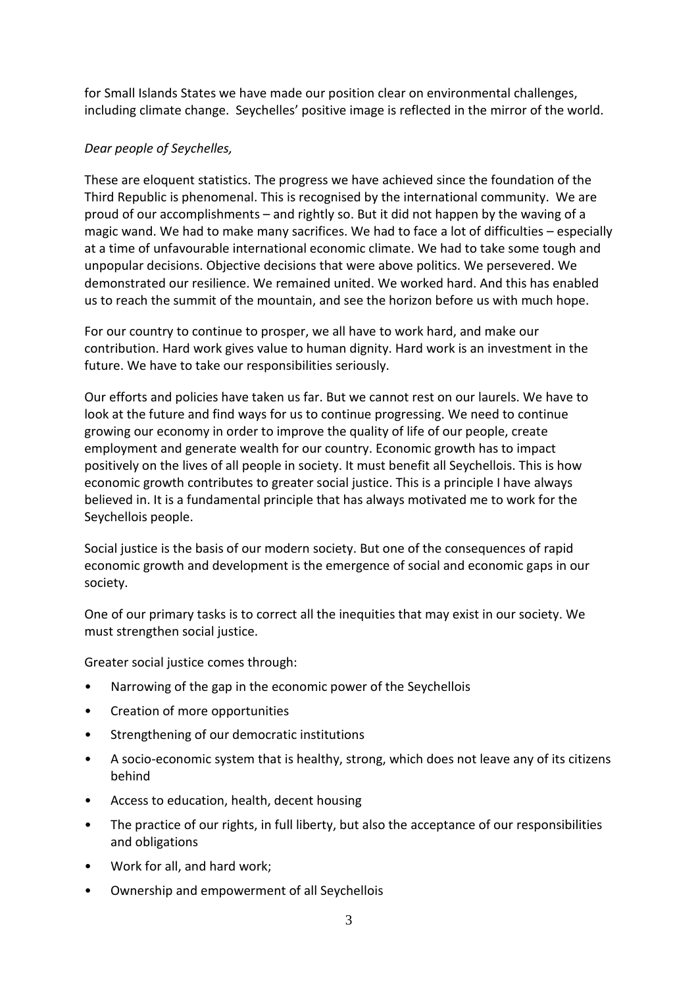for Small Islands States we have made our position clear on environmental challenges, including climate change. Seychelles' positive image is reflected in the mirror of the world.

# *Dear people of Seychelles,*

These are eloquent statistics. The progress we have achieved since the foundation of the Third Republic is phenomenal. This is recognised by the international community. We are proud of our accomplishments – and rightly so. But it did not happen by the waving of a magic wand. We had to make many sacrifices. We had to face a lot of difficulties – especially at a time of unfavourable international economic climate. We had to take some tough and unpopular decisions. Objective decisions that were above politics. We persevered. We demonstrated our resilience. We remained united. We worked hard. And this has enabled us to reach the summit of the mountain, and see the horizon before us with much hope.

For our country to continue to prosper, we all have to work hard, and make our contribution. Hard work gives value to human dignity. Hard work is an investment in the future. We have to take our responsibilities seriously.

Our efforts and policies have taken us far. But we cannot rest on our laurels. We have to look at the future and find ways for us to continue progressing. We need to continue growing our economy in order to improve the quality of life of our people, create employment and generate wealth for our country. Economic growth has to impact positively on the lives of all people in society. It must benefit all Seychellois. This is how economic growth contributes to greater social justice. This is a principle I have always believed in. It is a fundamental principle that has always motivated me to work for the Seychellois people.

Social justice is the basis of our modern society. But one of the consequences of rapid economic growth and development is the emergence of social and economic gaps in our society.

One of our primary tasks is to correct all the inequities that may exist in our society. We must strengthen social justice.

Greater social justice comes through:

- Narrowing of the gap in the economic power of the Seychellois
- Creation of more opportunities
- Strengthening of our democratic institutions
- A socio-economic system that is healthy, strong, which does not leave any of its citizens behind
- Access to education, health, decent housing
- The practice of our rights, in full liberty, but also the acceptance of our responsibilities and obligations
- Work for all, and hard work;
- Ownership and empowerment of all Seychellois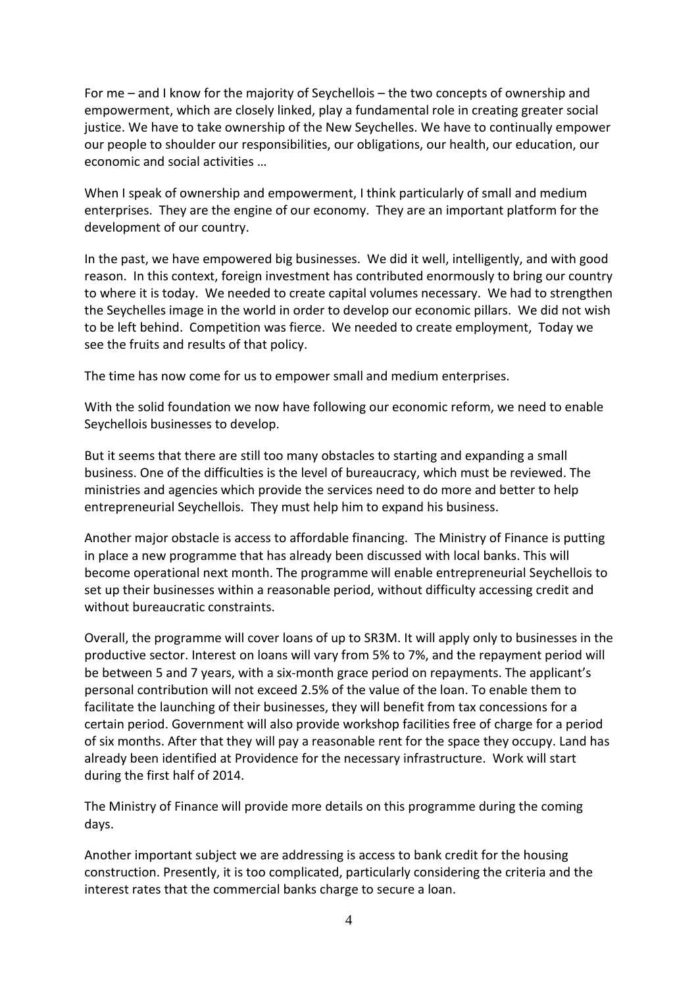For me – and I know for the majority of Seychellois – the two concepts of ownership and empowerment, which are closely linked, play a fundamental role in creating greater social justice. We have to take ownership of the New Seychelles. We have to continually empower our people to shoulder our responsibilities, our obligations, our health, our education, our economic and social activities …

When I speak of ownership and empowerment, I think particularly of small and medium enterprises. They are the engine of our economy. They are an important platform for the development of our country.

In the past, we have empowered big businesses. We did it well, intelligently, and with good reason. In this context, foreign investment has contributed enormously to bring our country to where it is today. We needed to create capital volumes necessary. We had to strengthen the Seychelles image in the world in order to develop our economic pillars. We did not wish to be left behind. Competition was fierce. We needed to create employment, Today we see the fruits and results of that policy.

The time has now come for us to empower small and medium enterprises.

With the solid foundation we now have following our economic reform, we need to enable Seychellois businesses to develop.

But it seems that there are still too many obstacles to starting and expanding a small business. One of the difficulties is the level of bureaucracy, which must be reviewed. The ministries and agencies which provide the services need to do more and better to help entrepreneurial Seychellois. They must help him to expand his business.

Another major obstacle is access to affordable financing. The Ministry of Finance is putting in place a new programme that has already been discussed with local banks. This will become operational next month. The programme will enable entrepreneurial Seychellois to set up their businesses within a reasonable period, without difficulty accessing credit and without bureaucratic constraints.

Overall, the programme will cover loans of up to SR3M. It will apply only to businesses in the productive sector. Interest on loans will vary from 5% to 7%, and the repayment period will be between 5 and 7 years, with a six-month grace period on repayments. The applicant's personal contribution will not exceed 2.5% of the value of the loan. To enable them to facilitate the launching of their businesses, they will benefit from tax concessions for a certain period. Government will also provide workshop facilities free of charge for a period of six months. After that they will pay a reasonable rent for the space they occupy. Land has already been identified at Providence for the necessary infrastructure. Work will start during the first half of 2014.

The Ministry of Finance will provide more details on this programme during the coming days.

Another important subject we are addressing is access to bank credit for the housing construction. Presently, it is too complicated, particularly considering the criteria and the interest rates that the commercial banks charge to secure a loan.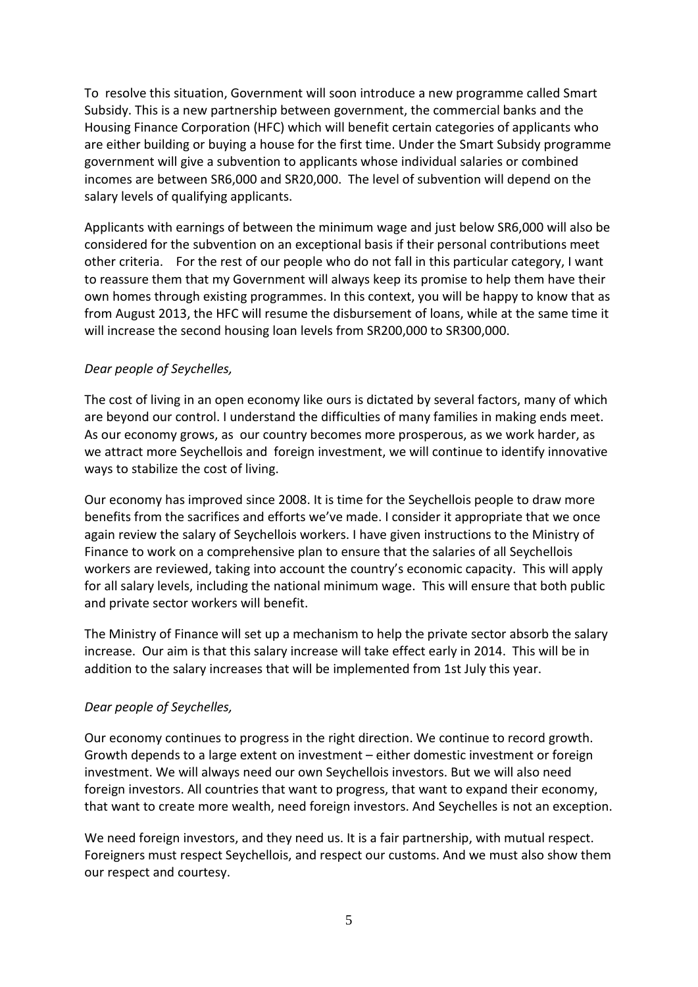To resolve this situation, Government will soon introduce a new programme called Smart Subsidy. This is a new partnership between government, the commercial banks and the Housing Finance Corporation (HFC) which will benefit certain categories of applicants who are either building or buying a house for the first time. Under the Smart Subsidy programme government will give a subvention to applicants whose individual salaries or combined incomes are between SR6,000 and SR20,000. The level of subvention will depend on the salary levels of qualifying applicants.

Applicants with earnings of between the minimum wage and just below SR6,000 will also be considered for the subvention on an exceptional basis if their personal contributions meet other criteria. For the rest of our people who do not fall in this particular category, I want to reassure them that my Government will always keep its promise to help them have their own homes through existing programmes. In this context, you will be happy to know that as from August 2013, the HFC will resume the disbursement of loans, while at the same time it will increase the second housing loan levels from SR200,000 to SR300,000.

#### *Dear people of Seychelles,*

The cost of living in an open economy like ours is dictated by several factors, many of which are beyond our control. I understand the difficulties of many families in making ends meet. As our economy grows, as our country becomes more prosperous, as we work harder, as we attract more Seychellois and foreign investment, we will continue to identify innovative ways to stabilize the cost of living.

Our economy has improved since 2008. It is time for the Seychellois people to draw more benefits from the sacrifices and efforts we've made. I consider it appropriate that we once again review the salary of Seychellois workers. I have given instructions to the Ministry of Finance to work on a comprehensive plan to ensure that the salaries of all Seychellois workers are reviewed, taking into account the country's economic capacity. This will apply for all salary levels, including the national minimum wage. This will ensure that both public and private sector workers will benefit.

The Ministry of Finance will set up a mechanism to help the private sector absorb the salary increase. Our aim is that this salary increase will take effect early in 2014. This will be in addition to the salary increases that will be implemented from 1st July this year.

#### *Dear people of Seychelles,*

Our economy continues to progress in the right direction. We continue to record growth. Growth depends to a large extent on investment – either domestic investment or foreign investment. We will always need our own Seychellois investors. But we will also need foreign investors. All countries that want to progress, that want to expand their economy, that want to create more wealth, need foreign investors. And Seychelles is not an exception.

We need foreign investors, and they need us. It is a fair partnership, with mutual respect. Foreigners must respect Seychellois, and respect our customs. And we must also show them our respect and courtesy.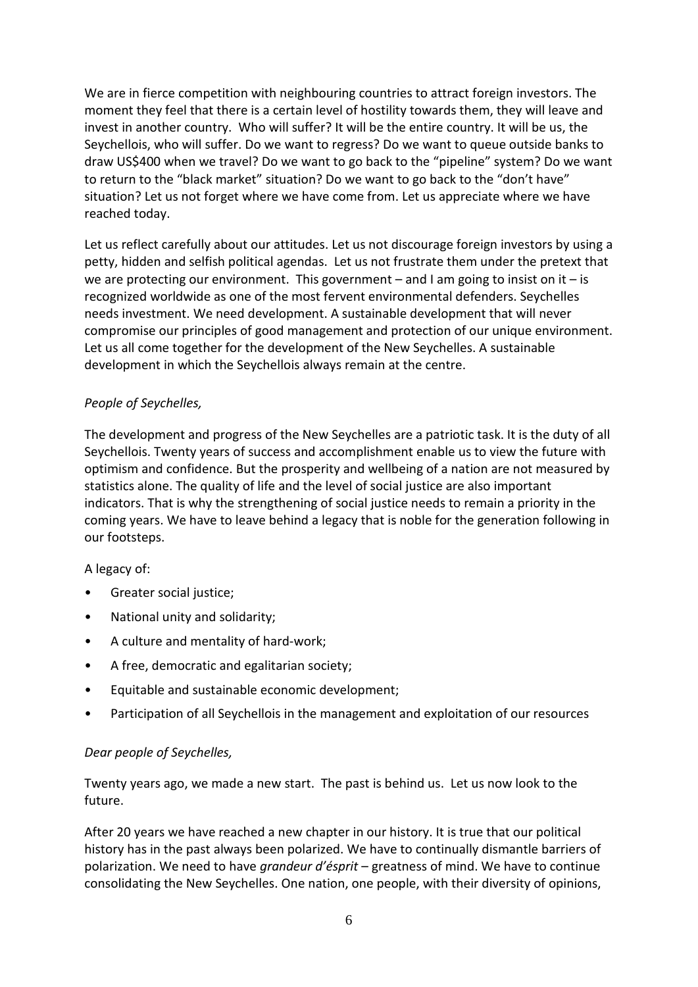We are in fierce competition with neighbouring countries to attract foreign investors. The moment they feel that there is a certain level of hostility towards them, they will leave and invest in another country. Who will suffer? It will be the entire country. It will be us, the Seychellois, who will suffer. Do we want to regress? Do we want to queue outside banks to draw US\$400 when we travel? Do we want to go back to the "pipeline" system? Do we want to return to the "black market" situation? Do we want to go back to the "don't have" situation? Let us not forget where we have come from. Let us appreciate where we have reached today.

Let us reflect carefully about our attitudes. Let us not discourage foreign investors by using a petty, hidden and selfish political agendas. Let us not frustrate them under the pretext that we are protecting our environment. This government – and I am going to insist on it – is recognized worldwide as one of the most fervent environmental defenders. Seychelles needs investment. We need development. A sustainable development that will never compromise our principles of good management and protection of our unique environment. Let us all come together for the development of the New Seychelles. A sustainable development in which the Seychellois always remain at the centre.

# *People of Seychelles,*

The development and progress of the New Seychelles are a patriotic task. It is the duty of all Seychellois. Twenty years of success and accomplishment enable us to view the future with optimism and confidence. But the prosperity and wellbeing of a nation are not measured by statistics alone. The quality of life and the level of social justice are also important indicators. That is why the strengthening of social justice needs to remain a priority in the coming years. We have to leave behind a legacy that is noble for the generation following in our footsteps.

# A legacy of:

- Greater social justice;
- National unity and solidarity;
- A culture and mentality of hard-work;
- A free, democratic and egalitarian society;
- Equitable and sustainable economic development;
- Participation of all Seychellois in the management and exploitation of our resources

# *Dear people of Seychelles,*

Twenty years ago, we made a new start. The past is behind us. Let us now look to the future.

After 20 years we have reached a new chapter in our history. It is true that our political history has in the past always been polarized. We have to continually dismantle barriers of polarization. We need to have *grandeur d'ésprit* – greatness of mind. We have to continue consolidating the New Seychelles. One nation, one people, with their diversity of opinions,